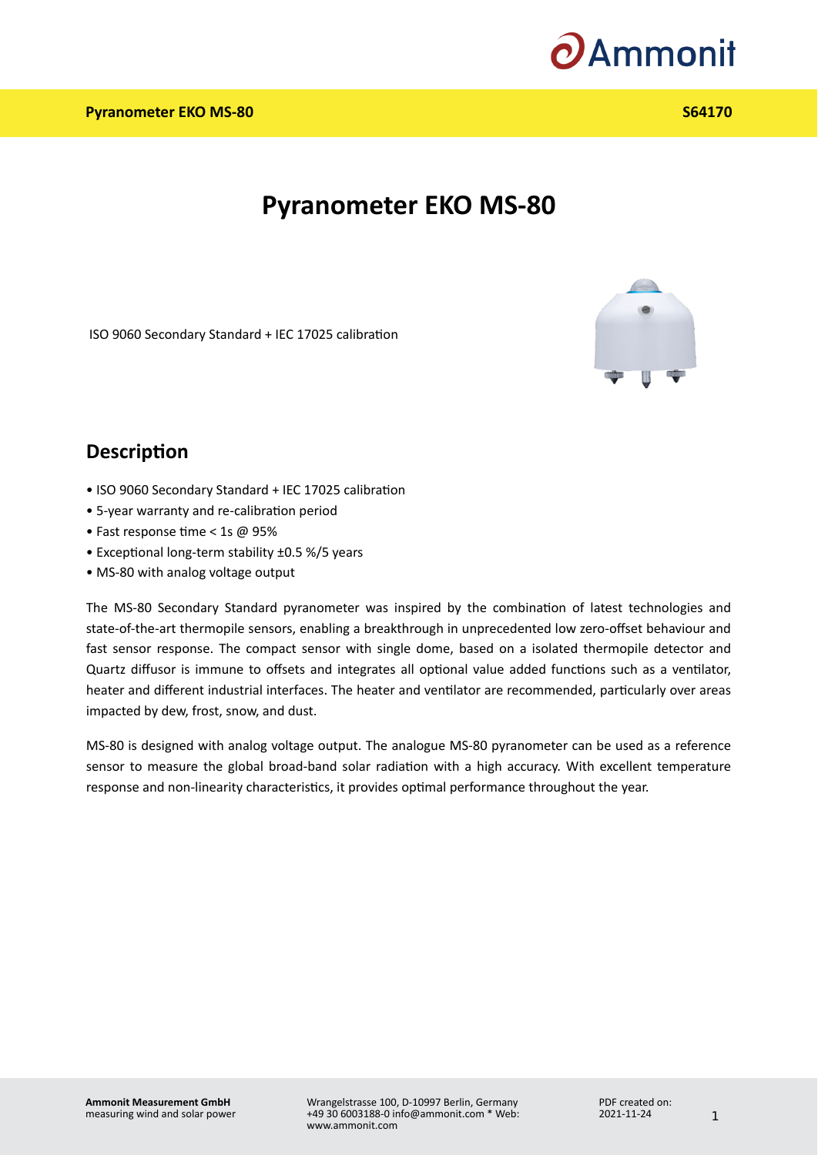

# **Pyranometer EKO MS-80**

ISO 9060 Secondary Standard + IEC 17025 calibration



#### **Description**

- ISO 9060 Secondary Standard + IEC 17025 calibration
- 5-year warranty and re-calibration period •
- Fast response time < 1s @ 95%
- Exceptional long-term stability ±0.5 %/5 years
- MS-80 with analog voltage output •

The MS-80 Secondary Standard pyranometer was inspired by the combination of latest technologies and state-of-the-art thermopile sensors, enabling a breakthrough in unprecedented low zero-offset behaviour and fast sensor response. The compact sensor with single dome, based on a isolated thermopile detector and Quartz diffusor is immune to offsets and integrates all optional value added functions such as a ventilator, heater and different industrial interfaces. The heater and ventilator are recommended, particularly over areas impacted by dew, frost, snow, and dust.

MS-80 is designed with analog voltage output. The analogue MS-80 pyranometer can be used as a reference sensor to measure the global broad-band solar radiation with a high accuracy. With excellent temperature response and non-linearity characteristics, it provides optimal performance throughout the year.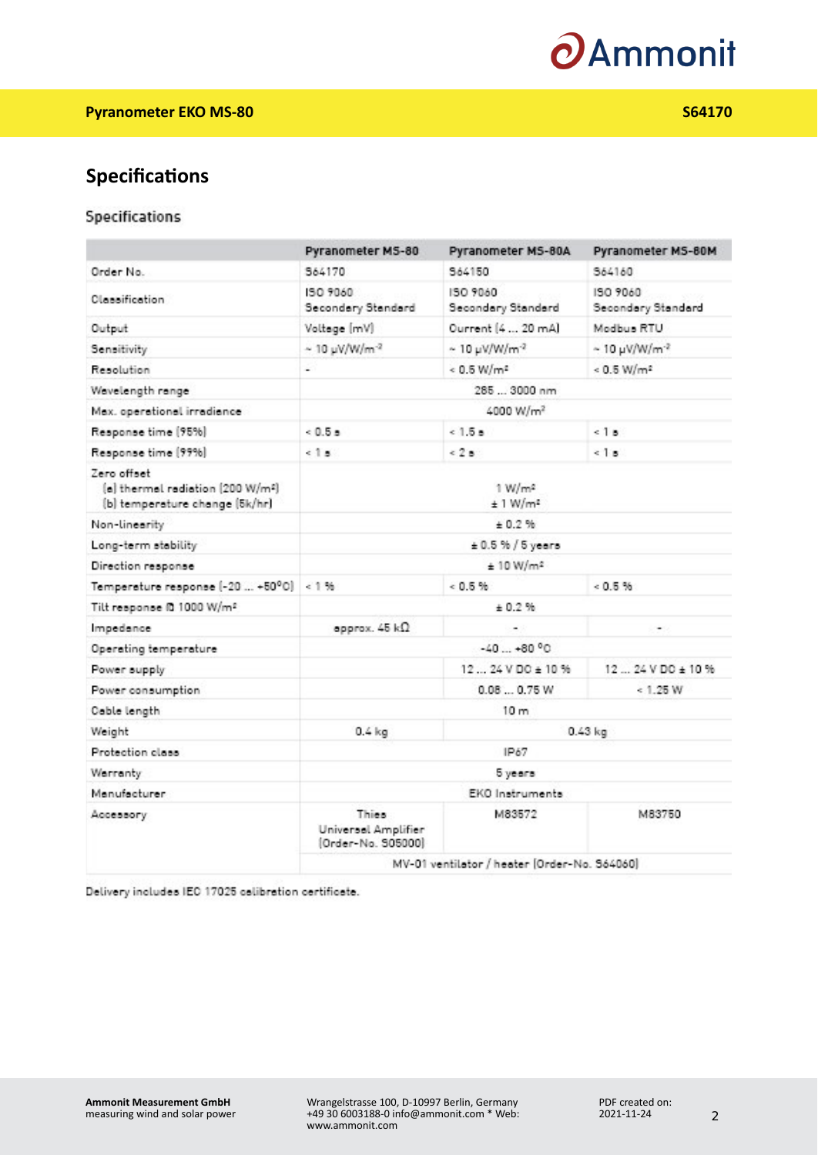

## **Specifications**

#### Specifications

|                                                                                   | Pyranometer MS-80                                  | Pyranometer MS-80A                            | Pyranometer MS-80M                          |
|-----------------------------------------------------------------------------------|----------------------------------------------------|-----------------------------------------------|---------------------------------------------|
| Order No.                                                                         | 564170                                             | 964150                                        | 564160                                      |
| Classification                                                                    | 50 9060<br>Secondary Standard                      | 150 9060<br>Secondary Standard                | 190.9060<br>Secondary Standard              |
| Output                                                                            | Voltage [mV]                                       | Ourrent [4  20 mA]                            | Modbus RTU                                  |
| Sensitivity                                                                       | $\sim$ 10 µV/W/m <sup>-2</sup>                     | $\sim 10 \text{ }\mu\text{V}/\text{W/m}^{-2}$ | $\sim 10 \,\mu{\rm W}/{\rm W}/{\rm m}^{-2}$ |
| Resolution                                                                        | a.                                                 | $0.5$ W/m <sup>2</sup>                        | $< 0.5$ W/m <sup>2</sup>                    |
| Wavelength range                                                                  | 285  3000 nm                                       |                                               |                                             |
| Max. operational irradiance                                                       | 4000 W/m <sup>2</sup>                              |                                               |                                             |
| Response time [95%]                                                               | $0.5 -$                                            | 0.15 <sub>8</sub>                             | $5 - 18$                                    |
| Response time (99%)                                                               | 518                                                | 528                                           | 518                                         |
| Zero offset<br>[a] thermal radiation [200 W/m2]<br>(b) temperature change (5k/hr) | $1$ W/m <sup>2</sup><br>$±1$ W/m <sup>2</sup>      |                                               |                                             |
| Non-linearity                                                                     | $+0.2%$                                            |                                               |                                             |
| Long-term stability                                                               | $\pm 0.5$ % / 5 years                              |                                               |                                             |
| Direction response                                                                | ± 10 W/m <sup>2</sup>                              |                                               |                                             |
| Temperature response [-20  +50°C]                                                 | 1.56                                               | 0.5%                                          | 0.5%                                        |
| Tilt response @ 1000 W/m <sup>2</sup>                                             | ± 0.2%                                             |                                               |                                             |
| Impedance                                                                         | approx. $45 \; \text{k}\Omega$                     |                                               | ÷                                           |
| Operating temperature                                                             | $-40+80°$                                          |                                               |                                             |
| Power supply                                                                      |                                                    | 12 24 V DO ± 10 %                             | 1224 VDO ± 10%                              |
| Power consumption                                                                 |                                                    | 0.080.75W                                     | < 1.25 W                                    |
| Cable length                                                                      | 10 <sub>m</sub>                                    |                                               |                                             |
| Weight                                                                            | $0.4$ kg                                           | $0.43$ kg                                     |                                             |
| Protection class                                                                  | IP67                                               |                                               |                                             |
| Warranty                                                                          | 5 years                                            |                                               |                                             |
| Manufacturer                                                                      | EKO Instruments                                    |                                               |                                             |
| Accessory                                                                         | Thies<br>Universal Amplifier<br>[Order-No. 505000] | M83572                                        | M83750                                      |
|                                                                                   | MV-01 ventilator / heater [Order-No. 564060]       |                                               |                                             |

Delivery includes IEO 17025 colibration certificate.